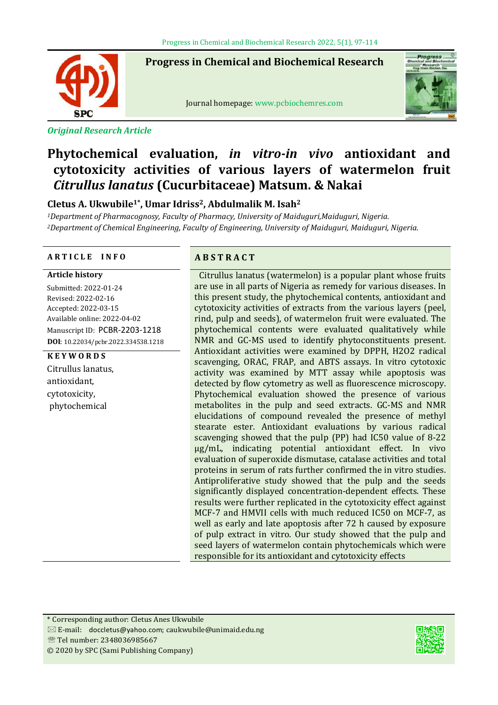**Progress in Chemical and Biochemical Research**

SP(

ֺ֞֡

*Original Research Article*



Journal homepage: www.pcbiochemres.com

# **Phytochemical evaluation,** *in vitro-in vivo* **antioxidant and cytotoxicity activities of various layers of watermelon fruit**  *Citrullus lanatus* **(Cucurbitaceae) Matsum. & Nakai**

# **Cletus A. Ukwubile1\*, Umar Idriss2, Abdulmalik M. Isah2**

*1Department of Pharmacognosy, Faculty of Pharmacy, University of Maiduguri,Maiduguri, Nigeria. 2Department of Chemical Engineering, Faculty of Engineering, University of Maiduguri, Maiduguri, Nigeria.*

# **A R T I C L E I N F O A B S T R A C T**

#### **Article history**

Submitted: 2022-01-24 Revised: 2022-02-16 Accepted: 2022-03-15 Available online: 2022-04-02 Manuscript ID: PCBR-2203-1218 **DOI**: 10.22034/pcbr.2022.334538.1218

# **K E Y W O R D S**

Citrullus lanatus, antioxidant, cytotoxicity, phytochemical

Citrullus lanatus (watermelon) is a popular plant whose fruits are use in all parts of Nigeria as remedy for various diseases. In this present study, the phytochemical contents, antioxidant and cytotoxicity activities of extracts from the various layers (peel, rind, pulp and seeds), of watermelon fruit were evaluated. The phytochemical contents were evaluated qualitatively while NMR and GC-MS used to identify phytoconstituents present. Antioxidant activities were examined by DPPH, H2O2 radical scavenging, ORAC, FRAP, and ABTS assays. In vitro cytotoxic activity was examined by MTT assay while apoptosis was detected by flow cytometry as well as fluorescence microscopy. Phytochemical evaluation showed the presence of various metabolites in the pulp and seed extracts. GC-MS and NMR elucidations of compound revealed the presence of methyl stearate ester. Antioxidant evaluations by various radical scavenging showed that the pulp (PP) had IC50 value of 8-22 µg/mL, indicating potential antioxidant effect. In vivo evaluation of superoxide dismutase, catalase activities and total proteins in serum of rats further confirmed the in vitro studies. Antiproliferative study showed that the pulp and the seeds significantly displayed concentration-dependent effects. These results were further replicated in the cytotoxicity effect against MCF-7 and HMVII cells with much reduced IC50 on MCF-7, as well as early and late apoptosis after 72 h caused by exposure of pulp extract in vitro. Our study showed that the pulp and seed layers of watermelon contain phytochemicals which were responsible for its antioxidant and cytotoxicity effects

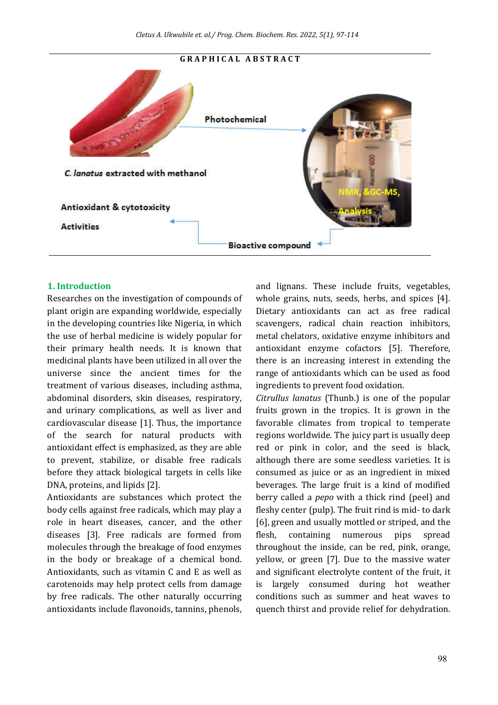# **G R A P H I C A L A B S T R A C T**Photochemical C. lanatus extracted with methanol **Antioxidant & cytotoxicity Activities Bioactive compound**

#### **1. Introduction**

Researches on the investigation of compounds of plant origin are expanding worldwide, especially in the developing countries like Nigeria, in which the use of herbal medicine is widely popular for their primary health needs. It is known that medicinal plants have been utilized in all over the universe since the ancient times for the treatment of various diseases, including asthma, abdominal disorders, skin diseases, respiratory, and urinary complications, as well as liver and cardiovascular disease [1]. Thus, the importance of the search for natural products with antioxidant effect is emphasized, as they are able to prevent, stabilize, or disable free radicals before they attack biological targets in cells like DNA, proteins, and lipids [2].

Antioxidants are substances which protect the body cells against free radicals, which may play a role in heart diseases, cancer, and the other diseases [3]. Free radicals are formed from molecules through the breakage of food enzymes in the body or breakage of a chemical bond. Antioxidants, such as vitamin C and E as well as carotenoids may help protect cells from damage by free radicals. The other naturally occurring antioxidants include flavonoids, tannins, phenols,

and lignans. These include fruits, vegetables, whole grains, nuts, seeds, herbs, and spices [4]. Dietary antioxidants can act as free radical scavengers, radical chain reaction inhibitors, metal chelators, oxidative enzyme inhibitors and antioxidant enzyme cofactors [5]. Therefore, there is an increasing interest in extending the range of antioxidants which can be used as food ingredients to prevent food oxidation.

*Citrullus lanatus* (Thunb.) is one of the popular fruits grown in the tropics. It is grown in the favorable climates from tropical to temperate regions worldwide. The juicy part is usually deep red or pink in color, and the seed is black, although there are some seedless varieties. It is consumed as juice or as an ingredient in mixed beverages. The large fruit is a kind of modified berry called a *pepo* with a thick rind (peel) and fleshy center (pulp). The fruit rind is mid- to dark [6], green and usually mottled or striped, and the flesh, containing numerous pips spread throughout the inside, can be red, pink, orange, yellow, or green [7]. Due to the massive water and significant electrolyte content of the fruit, it is largely consumed during hot weather conditions such as summer and heat waves to quench thirst and provide relief for dehydration.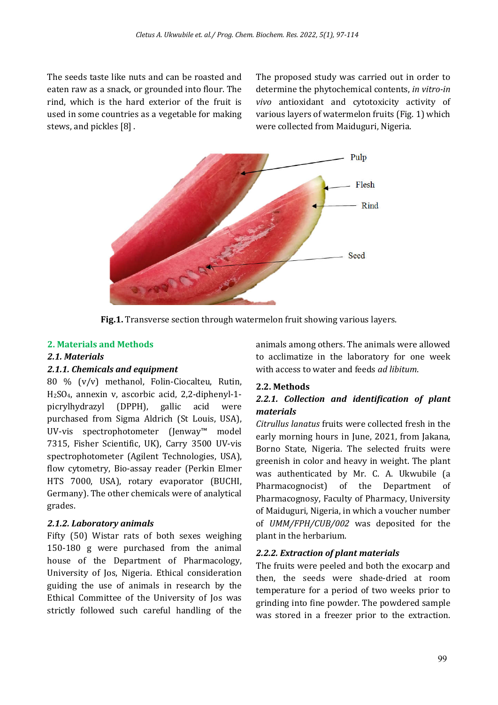The seeds taste like nuts and can be roasted and eaten raw as a snack, or grounded into flour. The rind, which is the hard exterior of the fruit is used in some countries as a vegetable for making stews, and pickles [8] .

The proposed study was carried out in order to determine the phytochemical contents, *in vitro-in vivo* antioxidant and cytotoxicity activity of various layers of watermelon fruits (Fig. 1) which were collected from Maiduguri, Nigeria.



**Fig.1.** Transverse section through watermelon fruit showing various layers.

# **2. Materials and Methods**

# *2.1. Materials*

# *2.1.1. Chemicals and equipment*

80 % (v/v) methanol, Folin-Ciocalteu, Rutin, H2SO4, annexin v, ascorbic acid, 2,2-diphenyl-1 picrylhydrazyl (DPPH), gallic acid were purchased from Sigma Aldrich (St Louis, USA), UV-vis spectrophotometer (Jenway™ model 7315, Fisher Scientific, UK), Carry 3500 UV-vis spectrophotometer (Agilent Technologies, USA), flow cytometry, Bio-assay reader (Perkin Elmer HTS 7000, USA), rotary evaporator (BUCHI, Germany). The other chemicals were of analytical grades.

# *2.1.2. Laboratory animals*

Fifty (50) Wistar rats of both sexes weighing 150-180 g were purchased from the animal house of the Department of Pharmacology, University of Jos, Nigeria. Ethical consideration guiding the use of animals in research by the Ethical Committee of the University of Jos was strictly followed such careful handling of the animals among others. The animals were allowed to acclimatize in the laboratory for one week with access to water and feeds *ad libitum*.

# **2.2. Methods**

# *2.2.1. Collection and identiication of plant materials*

*Citrullus lanatus* fruits were collected fresh in the early morning hours in June, 2021, from Jakana, Borno State, Nigeria. The selected fruits were greenish in color and heavy in weight. The plant was authenticated by Mr. C. A. Ukwubile (a Pharmacognocist) of the Department of Pharmacognosy, Faculty of Pharmacy, University of Maiduguri, Nigeria, in which a voucher number of *UMM/FPH/CUB/002* was deposited for the plant in the herbarium.

# *2.2.2. Extraction of plant materials*

The fruits were peeled and both the exocarp and then, the seeds were shade-dried at room temperature for a period of two weeks prior to grinding into fine powder. The powdered sample was stored in a freezer prior to the extraction.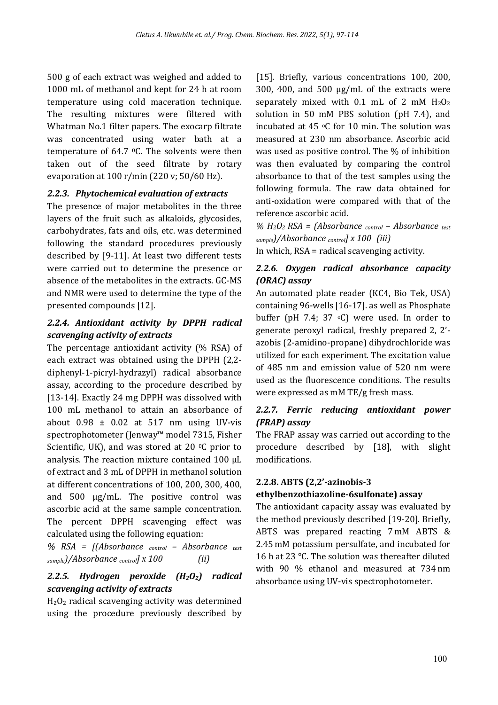500 g of each extract was weighed and added to 1000 mL of methanol and kept for 24 h at room temperature using cold maceration technique. The resulting mixtures were filtered with Whatman No.1 filter papers. The exocarp filtrate was concentrated using water bath at a temperature of 64.7 0C. The solvents were then taken out of the seed filtrate by rotary evaporation at 100 r/min (220 v; 50/60 Hz).

# *2.2.3. Phytochemical evaluation of extracts*

The presence of major metabolites in the three layers of the fruit such as alkaloids, glycosides, carbohydrates, fats and oils, etc. was determined following the standard procedures previously described by [9-11]. At least two different tests were carried out to determine the presence or absence of the metabolites in the extracts. GC-MS and NMR were used to determine the type of the presented compounds [12].

# *2.2.4. Antioxidant activity by DPPH radical scavenging activity of extracts*

The percentage antioxidant activity (% RSA) of each extract was obtained using the DPPH (2,2 diphenyl-1-picryl-hydrazyl) radical absorbance assay, according to the procedure described by [13-14]. Exactly 24 mg DPPH was dissolved with 100 mL methanol to attain an absorbance of about  $0.98 \pm 0.02$  at 517 nm using UV-vis spectrophotometer (Jenway™ model 7315, Fisher Scientific, UK), and was stored at 20 $\degree$ C prior to analysis. The reaction mixture contained 100 µL of extract and 3 mL of DPPH in methanol solution at different concentrations of 100, 200, 300, 400, and  $500 \mu g/mL$ . The positive control was ascorbic acid at the same sample concentration. The percent DPPH scavenging effect was calculated using the following equation:

*% RSA = [(Absorbance control – Absorbance test sample)/Absorbance control] x 100 (ii)*

# *2.2.5. Hydrogen peroxide (H2O2) radical scavenging activity of extracts*

 $H_2O_2$  radical scavenging activity was determined using the procedure previously described by [15]. Briefly, various concentrations 100, 200, 300, 400, and 500 µg/mL of the extracts were separately mixed with  $0.1$  mL of 2 mM  $H_2O_2$ solution in 50 mM PBS solution (pH 7.4), and incubated at 45  $\,^{\circ}$ C for 10 min. The solution was measured at 230 nm absorbance. Ascorbic acid was used as positive control. The % of inhibition was then evaluated by comparing the control absorbance to that of the test samples using the following formula. The raw data obtained for anti-oxidation were compared with that of the reference ascorbic acid.

*% H2O2 RSA = (Absorbance control – Absorbance test sample)/Absorbance control] x 100 (iii)* In which, RSA = radical scavenging activity.

# *2.2.6. Oxygen radical absorbance capacity (ORAC) assay*

An automated plate reader (KC4, Bio Tek, USA) containing 96-wells [16-17]. as well as Phosphate buffer (pH 7.4; 37 $\degree$ C) were used. In order to generate peroxyl radical, freshly prepared 2, 2' azobis (2-amidino-propane) dihydrochloride was utilized for each experiment. The excitation value of 485 nm and emission value of 520 nm were used as the fluorescence conditions. The results were expressed as mM TE/g fresh mass.

# *2.2.7. Ferric reducing antioxidant power (FRAP) assay*

The FRAP assay was carried out according to the procedure described by [18], with slight modifications.

# **2.2.8. ABTS (2,2'-azinobis-3**

# **ethylbenzothiazoline-6sulfonate) assay**

The antioxidant capacity assay was evaluated by the method previously described [19-20]. Briefly, ABTS was prepared reacting 7 mM ABTS & 2.45 mM potassium persulfate, and incubated for 16 h at 23 °C. The solution was thereafter diluted with 90 % ethanol and measured at 734 nm absorbance using UV-vis spectrophotometer.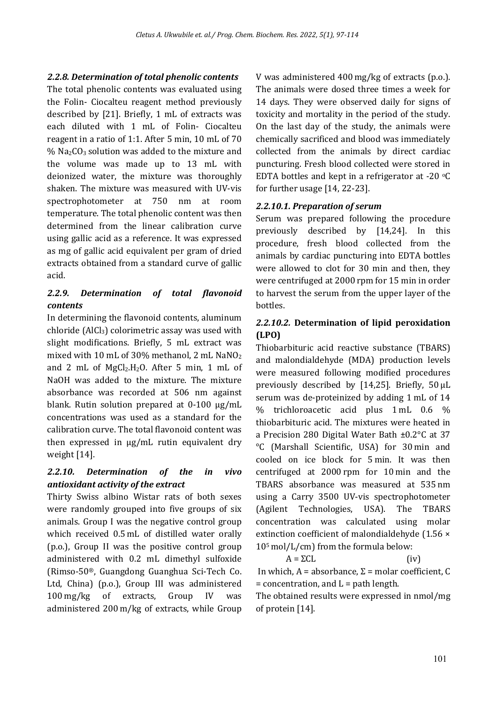# *2.2.8. Determination of total phenolic contents*

The total phenolic contents was evaluated using the Folin- Ciocalteu reagent method previously described by [21]. Briefly, 1 mL of extracts was each diluted with 1 mL of Folin- Ciocalteu reagent in a ratio of 1:1. After 5 min, 10 mL of 70  $%$  Na<sub>2</sub>CO<sub>3</sub> solution was added to the mixture and the volume was made up to 13 mL with deionized water, the mixture was thoroughly shaken. The mixture was measured with UV-vis spectrophotometer at 750 nm at room temperature. The total phenolic content was then determined from the linear calibration curve using gallic acid as a reference. It was expressed as mg of gallic acid equivalent per gram of dried extracts obtained from a standard curve of gallic acid.

# *2.2.9. Determination of total flavonoid contents*

In determining the flavonoid contents, aluminum chloride (AlCl3) colorimetric assay was used with slight modifications. Briefly, 5 mL extract was mixed with 10 mL of 30% methanol, 2 mL NaNO2 and 2 mL of  $MgCl<sub>2</sub>H<sub>2</sub>O$ . After 5 min, 1 mL of NaOH was added to the mixture. The mixture absorbance was recorded at 506 nm against blank. Rutin solution prepared at 0-100 µg/mL concentrations was used as a standard for the calibration curve. The total flavonoid content was then expressed in µg/mL rutin equivalent dry weight [14].

# *2.2.10. Determination of the in vivo antioxidant activity of the extract*

Thirty Swiss albino Wistar rats of both sexes were randomly grouped into five groups of six animals. Group I was the negative control group which received 0.5 mL of distilled water orally (p.o.), Group II was the positive control group administered with 0.2 mL dimethyl sulfoxide (Rimso-50®, Guangdong Guanghua Sci-Tech Co. Ltd, China) (p.o.), Group III was administered 100 mg/kg of extracts, Group IV was administered 200 m/kg of extracts, while Group V was administered 400 mg/kg of extracts (p.o.). The animals were dosed three times a week for 14 days. They were observed daily for signs of toxicity and mortality in the period of the study. On the last day of the study, the animals were chemically sacrificed and blood was immediately collected from the animals by direct cardiac puncturing. Fresh blood collected were stored in EDTA bottles and kept in a refrigerator at -20  $\,^{\circ}$ C for further usage [14, 22-23].

# *2.2.10.1. Preparation of serum*

Serum was prepared following the procedure previously described by [14,24]. In this procedure, fresh blood collected from the animals by cardiac puncturing into EDTA bottles were allowed to clot for 30 min and then, they were centrifuged at 2000 rpm for 15 min in order to harvest the serum from the upper layer of the bottles.

# *2.2.10.2.* **Determination of lipid peroxidation (LPO)**

Thiobarbituric acid reactive substance (TBARS) and malondialdehyde (MDA) production levels were measured following modified procedures previously described by [14,25]. Briefly,  $50 \mu L$ serum was de-proteinized by adding 1 mL of 14 % trichloroacetic acid plus 1 mL 0.6 % thiobarbituric acid. The mixtures were heated in a Precision 280 Digital Water Bath ±0.2°C at 37 °C (Marshall Scientific, USA) for 30 min and cooled on ice block for 5 min. It was then centrifuged at 2000 rpm for 10 min and the TBARS absorbance was measured at 535 nm using a Carry 3500 UV-vis spectrophotometer (Agilent Technologies, USA). The TBARS concentration was calculated using molar extinction coeficient of malondialdehyde (1.56 × 105 mol/L/cm) from the formula below:

 $A = \Sigma CL$  (iv) In which, A = absorbance, Σ = molar coefficient, C  $=$  concentration, and  $L =$  path length.

The obtained results were expressed in nmol/mg of protein [14].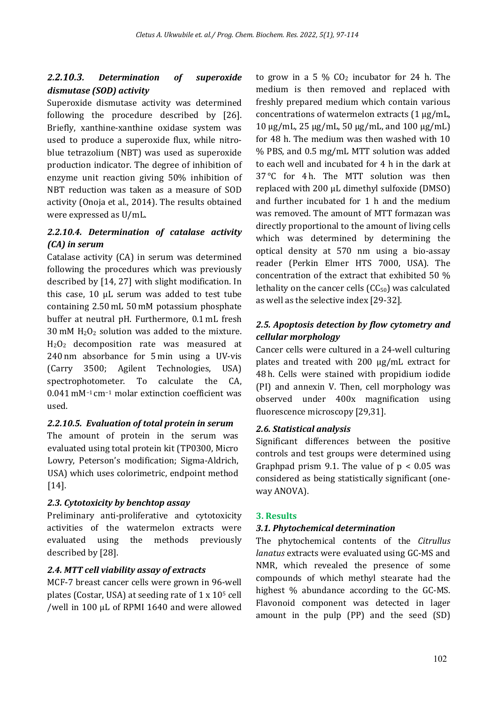# *2.2.10.3. Determination of superoxide dismutase (SOD) activity*

Superoxide dismutase activity was determined following the procedure described by [26]. Briefly, xanthine-xanthine oxidase system was used to produce a superoxide flux, while nitroblue tetrazolium (NBT) was used as superoxide production indicator. The degree of inhibition of enzyme unit reaction giving 50% inhibition of NBT reduction was taken as a measure of SOD activity (Onoja et al., 2014). The results obtained were expressed as U/mL.

# *2.2.10.4. Determination of catalase activity (CA) in serum*

Catalase activity (CA) in serum was determined following the procedures which was previously described by [14, 27] with slight modification. In this case, 10 µL serum was added to test tube containing 2.50 mL 50 mM potassium phosphate buffer at neutral pH. Furthermore, 0.1 mL fresh 30 mM H2O2 solution was added to the mixture.  $H_2O_2$  decomposition rate was measured at 240 nm absorbance for 5 min using a UV-vis (Carry 3500; Agilent Technologies, USA) spectrophotometer. To calculate the CA, 0.041 mM−1 cm−1 molar extinction coefficient was used.

# *2.2.10.5. Evaluation of total protein in serum*

The amount of protein in the serum was evaluated using total protein kit (TP0300, Micro Lowry, Peterson's modification; Sigma-Aldrich, USA) which uses colorimetric, endpoint method [14].

# *2.3. Cytotoxicity by benchtop assay*

Preliminary anti-proliferative and cytotoxicity activities of the watermelon extracts were evaluated using the methods previously described by [28].

# *2.4. MTT cell viability assay of extracts*

MCF-7 breast cancer cells were grown in 96-well plates (Costar, USA) at seeding rate of 1 x 105 cell /well in 100 µL of RPMI 1640 and were allowed to grow in a 5  $\%$  CO<sub>2</sub> incubator for 24 h. The medium is then removed and replaced with freshly prepared medium which contain various concentrations of watermelon extracts (1 µg/mL, 10 µg/mL, 25 µg/mL, 50 µg/mL, and 100 µg/mL) for 48 h. The medium was then washed with 10 % PBS, and 0.5 mg/mL MTT solution was added to each well and incubated for 4 h in the dark at 37 °C for 4 h. The MTT solution was then replaced with 200 µL dimethyl sulfoxide (DMSO) and further incubated for 1 h and the medium was removed. The amount of MTT formazan was directly proportional to the amount of living cells which was determined by determining the optical density at 570 nm using a bio-assay reader (Perkin Elmer HTS 7000, USA). The concentration of the extract that exhibited 50 % lethality on the cancer cells  $(CC_{50})$  was calculated as well as the selective index [29-32].

# *2.5. Apoptosis detection by flow cytometry and cellular morphology*

Cancer cells were cultured in a 24-well culturing plates and treated with 200 µg/mL extract for 48 h. Cells were stained with propidium iodide (PI) and annexin V. Then, cell morphology was observed under 400x magnification using fluorescence microscopy [29,31].

# *2.6. Statistical analysis*

Significant differences between the positive controls and test groups were determined using Graphpad prism 9.1. The value of  $p < 0.05$  was considered as being statistically significant (oneway ANOVA).

# **3. Results**

# *3.1. Phytochemical determination*

The phytochemical contents of the *Citrullus lanatus* extracts were evaluated using GC-MS and NMR, which revealed the presence of some compounds of which methyl stearate had the highest % abundance according to the GC-MS. Flavonoid component was detected in lager amount in the pulp (PP) and the seed (SD)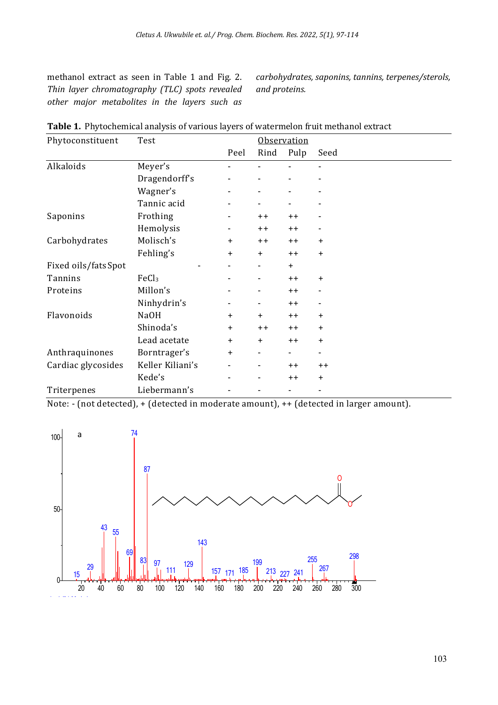methanol extract as seen in Table 1 and Fig. 2. *Thin layer chromatography (TLC) spots revealed other major metabolites in the layers such as*  *carbohydrates, saponins, tannins, terpenes/sterols, and proteins.*

| Phytoconstituent    | Test              |           | <b>Observation</b>       |           |                          |  |
|---------------------|-------------------|-----------|--------------------------|-----------|--------------------------|--|
|                     |                   | Peel      | Rind                     | Pulp      | Seed                     |  |
| Alkaloids           | Meyer's           |           |                          |           |                          |  |
|                     | Dragendorff's     |           | $\overline{\phantom{a}}$ |           |                          |  |
|                     | Wagner's          | -         | $\overline{\phantom{a}}$ |           | $\overline{\phantom{a}}$ |  |
|                     | Tannic acid       |           |                          |           |                          |  |
| Saponins            | Frothing          |           | $++$                     | $++$      |                          |  |
|                     | Hemolysis         |           | $++$                     | $++$      |                          |  |
| Carbohydrates       | Molisch's         | +         | $++$                     | $++$      | $\ddot{}$                |  |
|                     | Fehling's         | $\ddot{}$ | $\ddot{}$                | $++$      | $\ddot{}$                |  |
| Fixed oils/fatsSpot |                   |           |                          | $\ddot{}$ |                          |  |
| Tannins             | FeCl <sub>3</sub> |           | ۰                        | $++$      | $\ddot{}$                |  |
| Proteins            | Millon's          |           | ۰                        | $++$      | ۰                        |  |
|                     | Ninhydrin's       |           | ۰                        | $++$      | ۰                        |  |
| Flavonoids          | Na <sub>O</sub> H | +         | $+$                      | $++$      | $\ddot{}$                |  |
|                     | Shinoda's         | $\ddot{}$ | $++$                     | $++$      | $\ddot{}$                |  |
|                     | Lead acetate      | $\ddot{}$ | $\ddot{}$                | $++$      | $\ddot{}$                |  |
| Anthraquinones      | Borntrager's      | $\ddot{}$ | $\overline{\phantom{a}}$ |           | $\overline{\phantom{a}}$ |  |
| Cardiac glycosides  | Keller Kiliani's  | ۰         | ۰                        | $++$      | $++$                     |  |
|                     | Kede's            |           | ۰                        | $++$      | $\ddot{}$                |  |
| Triterpenes         | Liebermann's      |           | ٠                        |           | $\overline{\phantom{a}}$ |  |

**Table 1.** Phytochemical analysis of various layers of watermelon fruit methanol extract

Note: - (not detected), + (detected in moderate amount), ++ (detected in larger amount).

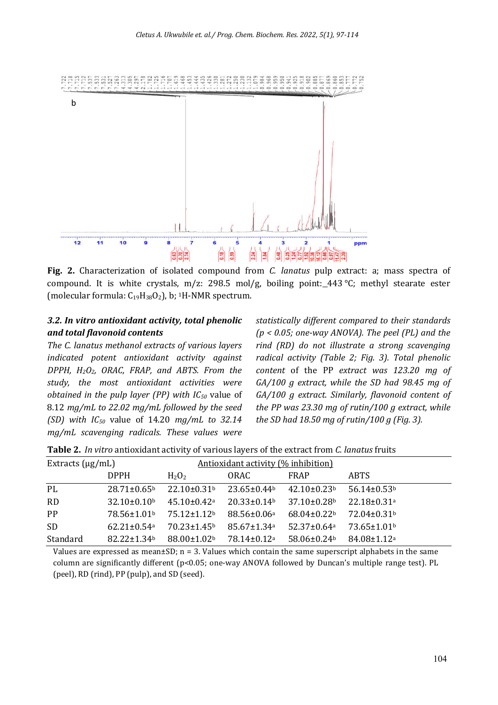

**Fig. 2.** Characterization of isolated compound from *C. lanatus* pulp extract: a; mass spectra of compound. It is white crystals, m/z: 298.5 mol/g, boiling point: 443 °C; methyl stearate ester (molecular formula:  $C_{19}H_{38}O_2$ ), b; <sup>1</sup>H-NMR spectrum.

# *3.2. In vitro antioxidant activity, total phenolic and total flavonoid contents*

*The C. lanatus methanol extracts of various layers indicated potent antioxidant activity against DPPH, H2O2, ORAC, FRAP, and ABTS. From the study, the most antioxidant activities were obtained in the pulp layer (PP) with IC50* value of 8.12 *mg/mL to 22.02 mg/mL followed by the seed (SD) with IC50* value of 14.20 *mg/mL to 32.14 mg/mL scavenging radicals. These values were* 

*statistically different compared to their standards (p < 0.05; one-way ANOVA). The peel (PL) and the rind (RD) do not illustrate a strong scavenging radical activity (Table 2; Fig. 3). Total phenolic content* of the PP *extract was 123.20 mg of GA/100 g extract, while the SD had 98.45 mg of GA/100 g extract. Similarly, lavonoid content of the PP was 23.30 mg of rutin/100 g extract, while the SD had 18.50 mg of rutin/100 g (Fig. 3).* 

| <b>Table 2.</b> In vitro antioxidant activity of various layers of the extract from C. lanatus fruits |  |  |  |
|-------------------------------------------------------------------------------------------------------|--|--|--|
|-------------------------------------------------------------------------------------------------------|--|--|--|

| Extracts $(\mu g/mL)$ |                               |                               | Antioxidant activity (% inhibition) |                               |                               |
|-----------------------|-------------------------------|-------------------------------|-------------------------------------|-------------------------------|-------------------------------|
|                       | <b>DPPH</b>                   | H <sub>2</sub> O <sub>2</sub> | ORAC                                | <b>FRAP</b>                   | <b>ABTS</b>                   |
| PL                    | $28.71 \pm 0.65^{\circ}$      | $22.10\pm0.31b$               | $23.65 \pm 0.44$ <sup>b</sup>       | $42.10\pm0.23b$               | $56.14 \pm 0.53$ <sup>b</sup> |
| <b>RD</b>             | $32.10\pm0.10b$               | $45.10 \pm 0.42$ <sup>a</sup> | $20.33 \pm 0.14$ <sup>b</sup>       | $37.10\pm0.28$ <sup>b</sup>   | $22.18 \pm 0.31$ <sup>a</sup> |
| PP                    | 78.56±1.01 <sup>b</sup>       | $75.12 \pm 1.12$              | $88.56 \pm 0.06^{\circ}$            | $68.04 \pm 0.22$              | 72.04±0.31b                   |
| <b>SD</b>             | $62.21 \pm 0.54$ <sup>a</sup> | $70.23 \pm 1.45$ <sup>b</sup> | $85.67 \pm 1.34$ <sup>a</sup>       | $52.37 \pm 0.64$ <sup>a</sup> | $73.65 \pm 1.01$ <sup>b</sup> |
| Standard              | $82.22 \pm 1.34$ <sup>b</sup> | $88.00 \pm 1.02$              | $78.14 \pm 0.12$ <sup>a</sup>       | $58.06 \pm 0.24$              | $84.08 \pm 1.12$ <sup>a</sup> |

Values are expressed as mean $\pm$ SD; n = 3. Values which contain the same superscript alphabets in the same column are significantly different (p<0.05; one-way ANOVA followed by Duncan's multiple range test). PL (peel), RD (rind), PP (pulp), and SD (seed).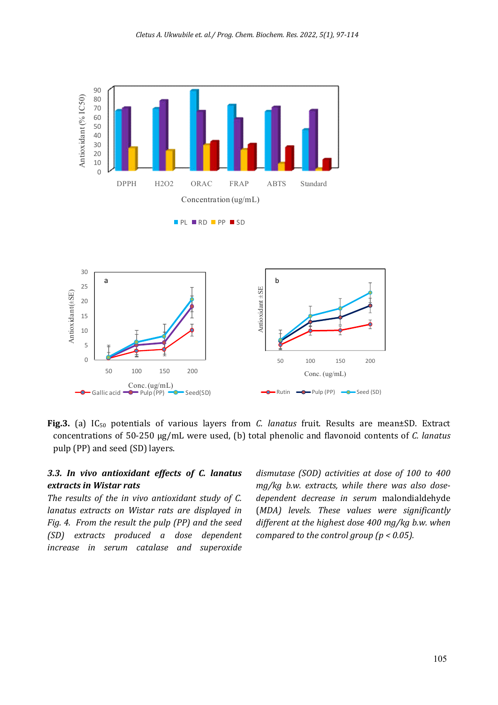

**Fig.3.** (a) IC50 potentials of various layers from *C. lanatus* fruit. Results are mean±SD. Extract concentrations of 50-250 µg/mL were used, (b) total phenolic and lavonoid contents of *C. lanatus*  pulp (PP) and seed (SD) layers.

# *3.3. In vivo antioxidant effects of C. lanatus extracts in Wistar rats*

*The results of the in vivo antioxidant study of C. lanatus extracts on Wistar rats are displayed in Fig. 4. From the result the pulp (PP) and the seed (SD) extracts produced a dose dependent increase in serum catalase and superoxide* 

*dismutase (SOD) activities at dose of 100 to 400 mg/kg b.w. extracts, while there was also dosedependent decrease in serum* malondialdehyde (*MDA) levels. These values were significantly different at the highest dose 400 mg/kg b.w. when compared to the control group (p < 0.05).*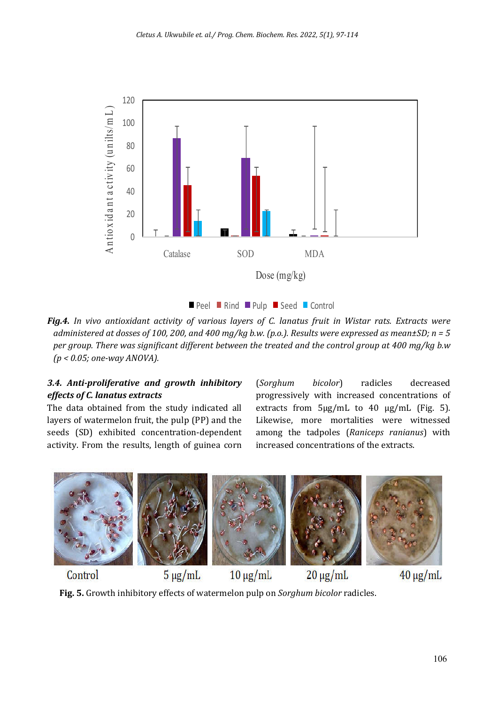

**Peel Rind Pulp Seed Control** 

*Fig.4. In vivo antioxidant activity of various layers of C. lanatus fruit in Wistar rats. Extracts were administered at dosses of 100, 200, and 400 mg/kg b.w. (p.o.). Results were expressed as mean±SD; n = 5 per group. There was signiicant different between the treated and the control group at 400 mg/kg b.w (p < 0.05; one-way ANOVA).*

# *3.4. Anti-proliferative and growth inhibitory effects of C. lanatus extracts*

The data obtained from the study indicated all layers of watermelon fruit, the pulp (PP) and the seeds (SD) exhibited concentration-dependent activity. From the results, length of guinea corn (*Sorghum bicolor*) radicles decreased progressively with increased concentrations of extracts from 5µg/mL to 40 µg/mL (Fig. 5). Likewise, more mortalities were witnessed among the tadpoles (*Raniceps ranianus*) with increased concentrations of the extracts.



 $5 \mu g/mL$  $40 \mu g/mL$  $10 \mu g/mL$  $20 \mu g/mL$ Control

**Fig. 5.** Growth inhibitory effects of watermelon pulp on *Sorghum bicolor* radicles.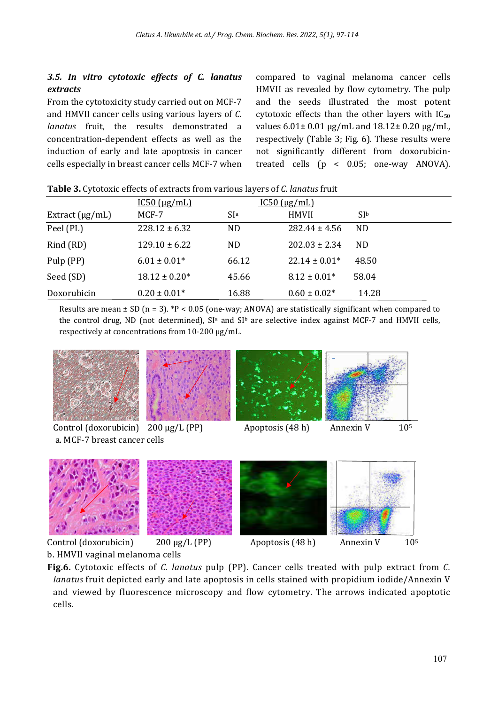# *3.5. In vitro cytotoxic effects of C. lanatus extracts*

From the cytotoxicity study carried out on MCF-7 and HMVII cancer cells using various layers of *C. lanatus* fruit, the results demonstrated a concentration-dependent effects as well as the induction of early and late apoptosis in cancer cells especially in breast cancer cells MCF-7 when compared to vaginal melanoma cancer cells HMVII as revealed by flow cytometry. The pulp and the seeds illustrated the most potent cytotoxic effects than the other layers with  $IC_{50}$ values 6.01± 0.01 µg/mL and 18.12± 0.20 µg/mL, respectively (Table 3; Fig. 6). These results were not significantly different from doxorubicintreated cells (p < 0.05; one-way ANOVA).

|                      | $IC50$ ( $\mu$ g/mL) |                 | $IC50$ ( $\mu$ g/mL) |                 |  |
|----------------------|----------------------|-----------------|----------------------|-----------------|--|
| Extract $(\mu g/mL)$ | MCF-7                | SI <sup>a</sup> | <b>HMVII</b>         | SI <sub>b</sub> |  |
| Peel (PL)            | $228.12 \pm 6.32$    | ND.             | $282.44 \pm 4.56$    | ND              |  |
| Rind (RD)            | $129.10 \pm 6.22$    | ND              | $202.03 \pm 2.34$    | ND              |  |
| Pulp (PP)            | $6.01 \pm 0.01*$     | 66.12           | $22.14 \pm 0.01*$    | 48.50           |  |
| Seed (SD)            | $18.12 \pm 0.20*$    | 45.66           | $8.12 \pm 0.01*$     | 58.04           |  |
| Doxorubicin          | $0.20 \pm 0.01*$     | 16.88           | $0.60 \pm 0.02*$     | 14.28           |  |

**Table 3.** Cytotoxic effects of extracts from various layers of *C. lanatus* fruit

Results are mean  $\pm$  SD (n = 3). \*P < 0.05 (one-way; ANOVA) are statistically significant when compared to the control drug, ND (not determined), SI<sup>a</sup> and SI<sup>b</sup> are selective index against MCF-7 and HMVII cells, respectively at concentrations from 10-200 µg/mL.









Control (doxorubicin)  $200 \mu g/L$  (PP) Apoptosis (48 h) Annexin V 10<sup>5</sup> b. HMVII vaginal melanoma cells

**Fig.6.** Cytotoxic effects of *C. lanatus* pulp (PP). Cancer cells treated with pulp extract from *C. lanatus* fruit depicted early and late apoptosis in cells stained with propidium iodide/Annexin V and viewed by fluorescence microscopy and flow cytometry. The arrows indicated apoptotic cells.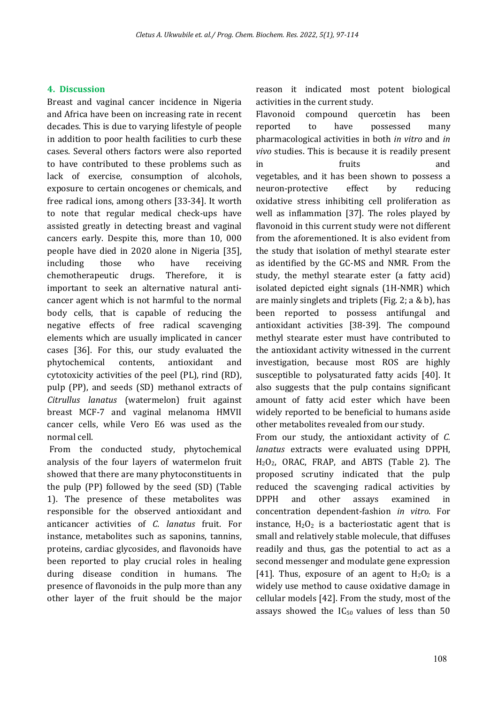#### **4. Discussion**

Breast and vaginal cancer incidence in Nigeria and Africa have been on increasing rate in recent decades. This is due to varying lifestyle of people in addition to poor health facilities to curb these cases. Several others factors were also reported to have contributed to these problems such as lack of exercise, consumption of alcohols, exposure to certain oncogenes or chemicals, and free radical ions, among others [33-34]. It worth to note that regular medical check-ups have assisted greatly in detecting breast and vaginal cancers early. Despite this, more than 10, 000 people have died in 2020 alone in Nigeria [35], including those who have receiving chemotherapeutic drugs. Therefore, it is important to seek an alternative natural anticancer agent which is not harmful to the normal body cells, that is capable of reducing the negative effects of free radical scavenging elements which are usually implicated in cancer cases [36]. For this, our study evaluated the phytochemical contents, antioxidant and cytotoxicity activities of the peel (PL), rind (RD), pulp (PP), and seeds (SD) methanol extracts of *Citrullus lanatus* (watermelon) fruit against breast MCF-7 and vaginal melanoma HMVII cancer cells, while Vero E6 was used as the normal cell.

From the conducted study, phytochemical analysis of the four layers of watermelon fruit showed that there are many phytoconstituents in the pulp (PP) followed by the seed (SD) (Table 1). The presence of these metabolites was responsible for the observed antioxidant and anticancer activities of *C*. *lanatus* fruit. For instance, metabolites such as saponins, tannins, proteins, cardiac glycosides, and flavonoids have been reported to play crucial roles in healing during disease condition in humans. The presence of flavonoids in the pulp more than any other layer of the fruit should be the major

reason it indicated most potent biological activities in the current study.

Flavonoid compound quercetin has been reported to have possessed many pharmacological activities in both *in vitro* and *in vivo* studies. This is because it is readily present in fruits and vegetables, and it has been shown to possess a neuron-protective effect by reducing oxidative stress inhibiting cell proliferation as well as inflammation [37]. The roles played by flavonoid in this current study were not different from the aforementioned. It is also evident from the study that isolation of methyl stearate ester as identified by the GC-MS and NMR. From the study, the methyl stearate ester (a fatty acid) isolated depicted eight signals (1H-NMR) which are mainly singlets and triplets (Fig. 2; a & b), has been reported to possess antifungal and antioxidant activities [38-39]. The compound methyl stearate ester must have contributed to the antioxidant activity witnessed in the current investigation, because most ROS are highly susceptible to polysaturated fatty acids [40]. It also suggests that the pulp contains significant amount of fatty acid ester which have been widely reported to be beneficial to humans aside other metabolites revealed from our study.

From our study, the antioxidant activity of *C. lanatus* extracts were evaluated using DPPH, H2O2, ORAC, FRAP, and ABTS (Table 2). The proposed scrutiny indicated that the pulp reduced the scavenging radical activities by DPPH and other assays examined in concentration dependent-fashion *in vitro*. For instance,  $H_2O_2$  is a bacteriostatic agent that is small and relatively stable molecule, that diffuses readily and thus, gas the potential to act as a second messenger and modulate gene expression [41]. Thus, exposure of an agent to  $H_2O_2$  is a widely use method to cause oxidative damage in cellular models [42]. From the study, most of the assays showed the  $IC_{50}$  values of less than 50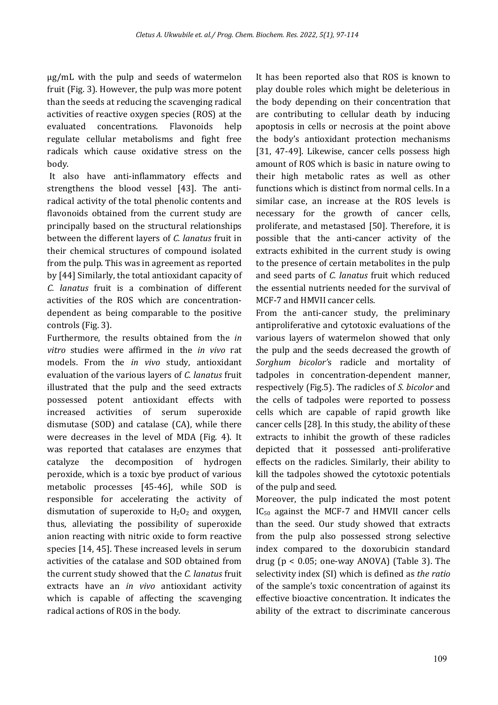µg/mL with the pulp and seeds of watermelon fruit (Fig. 3). However, the pulp was more potent than the seeds at reducing the scavenging radical activities of reactive oxygen species (ROS) at the evaluated concentrations. Flavonoids help regulate cellular metabolisms and fight free radicals which cause oxidative stress on the body.

It also have anti-inflammatory effects and strengthens the blood vessel [43]. The antiradical activity of the total phenolic contents and flavonoids obtained from the current study are principally based on the structural relationships between the different layers of *C. lanatus* fruit in their chemical structures of compound isolated from the pulp. This was in agreement as reported by [44] Similarly, the total antioxidant capacity of *C. lanatus* fruit is a combination of different activities of the ROS which are concentrationdependent as being comparable to the positive controls (Fig. 3).

Furthermore, the results obtained from the *in vitro* studies were affirmed in the *in vivo* rat models. From the *in vivo* study, antioxidant evaluation of the various layers of *C. lanatus* fruit illustrated that the pulp and the seed extracts possessed potent antioxidant effects with increased activities of serum superoxide dismutase (SOD) and catalase (CA), while there were decreases in the level of MDA (Fig. 4). It was reported that catalases are enzymes that catalyze the decomposition of hydrogen peroxide, which is a toxic bye product of various metabolic processes [45-46], while SOD is responsible for accelerating the activity of dismutation of superoxide to  $H_2O_2$  and oxygen, thus, alleviating the possibility of superoxide anion reacting with nitric oxide to form reactive species [14, 45]. These increased levels in serum activities of the catalase and SOD obtained from the current study showed that the *C. lanatus* fruit extracts have an *in vivo* antioxidant activity which is capable of affecting the scavenging radical actions of ROS in the body.

It has been reported also that ROS is known to play double roles which might be deleterious in the body depending on their concentration that are contributing to cellular death by inducing apoptosis in cells or necrosis at the point above the body's antioxidant protection mechanisms [31, 47-49]. Likewise, cancer cells possess high amount of ROS which is basic in nature owing to their high metabolic rates as well as other functions which is distinct from normal cells. In a similar case, an increase at the ROS levels is necessary for the growth of cancer cells, proliferate, and metastased [50]. Therefore, it is possible that the anti-cancer activity of the extracts exhibited in the current study is owing to the presence of certain metabolites in the pulp and seed parts of *C. lanatus* fruit which reduced the essential nutrients needed for the survival of MCF-7 and HMVII cancer cells.

From the anti-cancer study, the preliminary antiproliferative and cytotoxic evaluations of the various layers of watermelon showed that only the pulp and the seeds decreased the growth of *Sorghum bicolor'*s radicle and mortality of tadpoles in concentration-dependent manner, respectively (Fig.5). The radicles of *S. bicolor* and the cells of tadpoles were reported to possess cells which are capable of rapid growth like cancer cells [28]. In this study, the ability of these extracts to inhibit the growth of these radicles depicted that it possessed anti-proliferative effects on the radicles. Similarly, their ability to kill the tadpoles showed the cytotoxic potentials of the pulp and seed.

Moreover, the pulp indicated the most potent  $IC_{50}$  against the MCF-7 and HMVII cancer cells than the seed. Our study showed that extracts from the pulp also possessed strong selective index compared to the doxorubicin standard drug ( $p < 0.05$ ; one-way ANOVA) (Table 3). The selectivity index (SI) which is defined as *the ratio* of the sample's toxic concentration of against its effective bioactive concentration. It indicates the ability of the extract to discriminate cancerous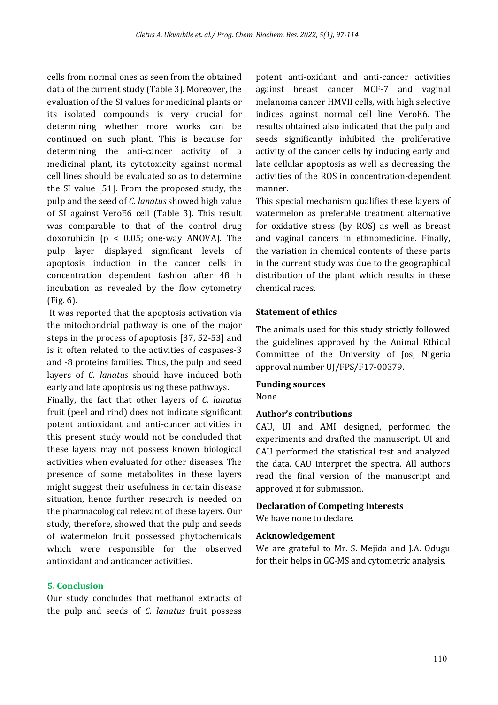cells from normal ones as seen from the obtained data of the current study (Table 3). Moreover, the evaluation of the SI values for medicinal plants or its isolated compounds is very crucial for determining whether more works can be continued on such plant. This is because for determining the anti-cancer activity of a medicinal plant, its cytotoxicity against normal cell lines should be evaluated so as to determine the SI value [51]. From the proposed study, the pulp and the seed of *C. lanatus* showed high value of SI against VeroE6 cell (Table 3). This result was comparable to that of the control drug doxorubicin (p < 0.05; one-way ANOVA). The pulp layer displayed significant levels of apoptosis induction in the cancer cells in concentration dependent fashion after 48 h incubation as revealed by the flow cytometry (Fig. 6).

It was reported that the apoptosis activation via the mitochondrial pathway is one of the major steps in the process of apoptosis [37, 52-53] and is it often related to the activities of caspases-3 and -8 proteins families. Thus, the pulp and seed layers of *C. lanatus* should have induced both early and late apoptosis using these pathways.

Finally, the fact that other layers of *C. lanatus* fruit (peel and rind) does not indicate significant potent antioxidant and anti-cancer activities in this present study would not be concluded that these layers may not possess known biological activities when evaluated for other diseases. The presence of some metabolites in these layers might suggest their usefulness in certain disease situation, hence further research is needed on the pharmacological relevant of these layers. Our study, therefore, showed that the pulp and seeds of watermelon fruit possessed phytochemicals which were responsible for the observed antioxidant and anticancer activities.

# **5. Conclusion**

Our study concludes that methanol extracts of the pulp and seeds of *C. lanatus* fruit possess

potent anti-oxidant and anti-cancer activities against breast cancer MCF-7 and vaginal melanoma cancer HMVII cells, with high selective indices against normal cell line VeroE6. The results obtained also indicated that the pulp and seeds significantly inhibited the proliferative activity of the cancer cells by inducing early and late cellular apoptosis as well as decreasing the activities of the ROS in concentration-dependent manner.

This special mechanism qualifies these layers of watermelon as preferable treatment alternative for oxidative stress (by ROS) as well as breast and vaginal cancers in ethnomedicine. Finally, the variation in chemical contents of these parts in the current study was due to the geographical distribution of the plant which results in these chemical races.

#### **Statement of ethics**

The animals used for this study strictly followed the guidelines approved by the Animal Ethical Committee of the University of Jos, Nigeria approval number UJ/FPS/F17-00379.

#### **Funding sources**

None

#### **Author's contributions**

CAU, UI and AMI designed, performed the experiments and drafted the manuscript. UI and CAU performed the statistical test and analyzed the data. CAU interpret the spectra. All authors read the final version of the manuscript and approved it for submission.

#### **Declaration of Competing Interests**

We have none to declare.

#### **Acknowledgement**

We are grateful to Mr. S. Mejida and J.A. Odugu for their helps in GC-MS and cytometric analysis.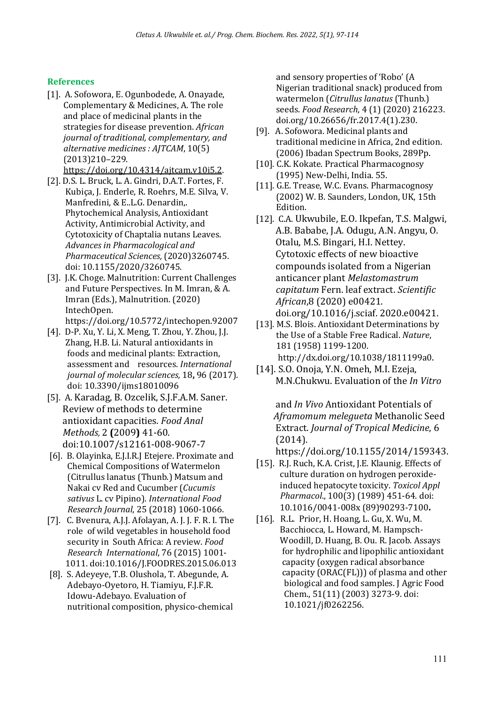# **References**

[1]. A. Sofowora, E. Ogunbodede, A. Onayade, Complementary & Medicines, A. The role and place of medicinal plants in the strategies for disease prevention. *African journal of traditional, complementary, and alternative medicines : AJTCAM*, 10(5) (2013)210–229.

https://doi.org/10.4314/ajtcam.v10i5.2.

- [2]. D.S. L. Bruck, L. A. Gindri, D.A.T. Fortes, F. Kubiça, J. Enderle, R. Roehrs, M.E. Silva, V. Manfredini, & E..L.G. Denardin,. Phytochemical Analysis, Antioxidant Activity, Antimicrobial Activity, and Cytotoxicity of Chaptalia nutans Leaves. *Advances in Pharmacological and Pharmaceutical Sciences,* (2020)3260745. doi: 10.1155/2020/3260745.
- [3]. J.K. Choge. Malnutrition: Current Challenges and Future Perspectives. In M. Imran, & A. Imran (Eds.), Malnutrition. (2020) IntechOpen. https://doi.org/10.5772/intechopen.92007
- [4]. D-P. Xu, Y. Li, X. Meng, T. Zhou, Y. Zhou, J.J. Zhang, H.B. Li. Natural antioxidants in foods and medicinal plants: Extraction, assessment and resources. *International journal of molecular sciences,* 18**,** 96 (2017). doi: 10.3390/ijms18010096
- [5]. A. Karadag, B. Ozcelik, S.J.F.A.M. Saner. Review of methods to determine antioxidant capacities. *Food Anal Methods,* 2 **(**2009**)** 41-60. doi:10.1007/s12161-008-9067-7
- [6]. B. Olayinka, E.J.I.R.J Etejere. Proximate and Chemical Compositions of Watermelon (Citrullus lanatus (Thunb.) Matsum and Nakai cv Red and Cucumber (*Cucumis sativus* L. cv Pipino). *International Food Research Journal*, 25 (2018) 1060-1066.
- [7]. C. Bvenura, A.J.J. Afolayan, A. J. J. F. R. I. The role of wild vegetables in household food security in South Africa: A review. *Food Research International*, 76 (2015) 1001- 1011. doi:10.1016/J.FOODRES.2015.06.013
- [8]. S. Adeyeye, T.B. Olushola, T. Abegunde, A. Adebayo-Oyetoro, H. Tiamiyu, F.J.F.R. Idowu-Adebayo. Evaluation of nutritional composition, physico-chemical

 and sensory properties of 'Robo' (A Nigerian traditional snack) produced from watermelon (*Citrullus lanatus* (Thunb.) seeds. *Food Research*, 4 (1) (2020) 216223. doi.org/10.26656/fr.2017.4(1).230.

- [9]. A. Sofowora. Medicinal plants and traditional medicine in Africa, 2nd edition. (2006) Ibadan Spectrum Books, 289Pp.
- [10]. C.K. Kokate. Practical Pharmacognosy (1995) New-Delhi, India. 55.
- [11]. G.E. Trease, W.C. Evans. Pharmacognosy (2002) W. B. Saunders, London, UK, 15th Edition.
- [12]. C.A. Ukwubile, E.O. Ikpefan, T.S. Malgwi, A.B. Bababe, J.A. Odugu, A.N. Angyu, O. Otalu, M.S. Bingari, H.I. Nettey. Cytotoxic effects of new bioactive compounds isolated from a Nigerian anticancer plant *Melastomastrum capitatum* Fern. leaf extract. *Scientific African*,8 (2020) e00421. doi.org/10.1016/j.sciaf. 2020.e00421.
- [13]. M.S. Blois. Antioxidant Determinations by the Use of a Stable Free Radical. *Nature*, 181 (1958) 1199-1200. http://dx.doi.org/10.1038/1811199a0.
- [14]. S.O. Onoja, Y.N. Omeh, M.I. Ezeja, M.N.Chukwu. Evaluation of the *In Vitro*

 and *In Vivo* Antioxidant Potentials of *Aframomum melegueta* Methanolic Seed Extract. *Journal of Tropical Medicine*, 6 (2014).

https://doi.org/10.1155/2014/159343.

- [15]. R.J. Ruch, K.A. Crist, J.E. Klaunig. Effects of culture duration on hydrogen peroxide induced hepatocyte toxicity. *Toxicol Appl Pharmacol*., 100(3) (1989) 451-64. doi: 10.1016/0041-008x (89)90293-7100**.**
- [16]. R.L. Prior, H. Hoang, L. Gu, X. Wu, M. Bacchiocca, L. Howard, M. Hampsch- Woodill, D. Huang, B. Ou. R. Jacob. Assays for hydrophilic and lipophilic antioxidant capacity (oxygen radical absorbance capacity (ORAC(FL))) of plasma and other biological and food samples. J Agric Food Chem., 51(11) (2003) 3273-9. doi: 10.1021/jf0262256.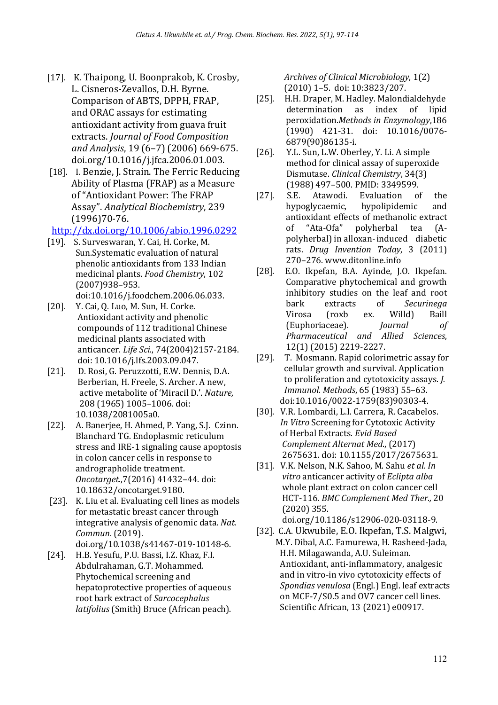- [17]. K. Thaipong, U. Boonprakob, K. Crosby, L. Cisneros-Zevallos, D.H. Byrne. Comparison of ABTS, DPPH, FRAP, and ORAC assays for estimating antioxidant activity from guava fruit extracts. *Journal of Food Composition and Analysis*, 19 (6–7) (2006) 669-675. doi.org/10.1016/j.jfca.2006.01.003.
- [18]. I. Benzie, J. Strain. The Ferric Reducing Ability of Plasma (FRAP) as a Measure of "Antioxidant Power: The FRAP Assay". *Analytical Biochemistry*, 239 (1996)70-76.

# http://dx.doi.org/10.1006/abio.1996.0292

- [19]. S. Surveswaran, Y. Cai, H. Corke, M. Sun.Systematic evaluation of natural phenolic antioxidants from 133 Indian medicinal plants. *Food Chemistry*, 102 (2007)938–953. doi:10.1016/j.foodchem.2006.06.033.
- [20]. Y. Cai, Q. Luo, M. Sun, H. Corke. Antioxidant activity and phenolic compounds of 112 traditional Chinese medicinal plants associated with anticancer. *Life Sci*., 74(2004)2157-2184. doi: 10.1016/j.lfs.2003.09.047.
- [21]. D. Rosi, G. Peruzzotti, E.W. Dennis, D.A. Berberian, H. Freele, S. Archer. A new, active metabolite of 'Miracil D.'. *Nature,* 208 (1965) 1005–1006. doi: 10.1038/2081005a0.
- [22]. A. Banerjee, H. Ahmed, P. Yang, S.J. Czinn. Blanchard TG. Endoplasmic reticulum stress and IRE-1 signaling cause apoptosis in colon cancer cells in response to andrographolide treatment. *Oncotarget*.,7(2016) 41432–44. doi: 10.18632/oncotarget.9180.
- [23]. K. Liu et al. Evaluating cell lines as models for metastatic breast cancer through integrative analysis of genomic data. *Nat. Commun*. (2019). doi.org/10.1038/s41467-019-10148-6.
- [24]. H.B. Yesufu, P.U. Bassi, I.Z. Khaz, F.I. Abdulrahaman, G.T. Mohammed. Phytochemical screening and hepatoprotective properties of aqueous root bark extract of *Sarcocephalus latifolius* (Smith) Bruce (African peach).

 *Archives of Clinical Microbiology*, 1(2) (2010) 1–5. doi: 10:3823/207.

- [25]. H.H. Draper, M. Hadley. Malondialdehyde determination as index of lipid peroxidation.*Methods in Enzymology*,186 (1990) 421-31. doi: 10.1016/0076- 6879(90)86135-i.
- [26]. Y.L. Sun, L.W. Oberley, Y. Li. A simple method for clinical assay of superoxide Dismutase. *Clinical Chemistry*, 34(3) (1988) 497–500. PMID: 3349599.
- [27]. S.E. Atawodi. Evaluation of the hypoglycaemic, hypolipidemic and antioxidant effects of methanolic extract of "Ata-Ofa" polyherbal tea (Apolyherbal) in alloxan-induced diabetic rats. *Drug Invention Today*, 3 (2011) 270–276. www.ditonline.info
- [28]. E.O. Ikpefan, B.A. Ayinde, J.O. Ikpefan. Comparative phytochemical and growth inhibitory studies on the leaf and root bark extracts of *Securinega* Virosa (roxb ex. Willd) Baill (Euphoriaceae). *Journal of Pharmaceutical and Allied Sciences*, 12(1) (2015) 2219-2227.
- [29]. T. Mosmann. Rapid colorimetric assay for cellular growth and survival. Application to proliferation and cytotoxicity assays. *J. Immunol. Methods*, 65 (1983) 55–63. doi:10.1016/0022-1759(83)90303-4.
- [30]. V.R. Lombardi, L.I. Carrera, R. Cacabelos. *In Vitro* Screening for Cytotoxic Activity of Herbal Extracts. *Evid Based Complement Alternat Med*., (2017) 2675631. doi: 10.1155/2017/2675631.
- [31]. V.K. Nelson, N.K. Sahoo, M. Sahu *et al*. *In vitro* anticancer activity of *Eclipta alba* whole plant extract on colon cancer cell HCT-116. *BMC Complement Med Ther.,* 20 (2020) 355.
	- doi.org/10.1186/s12906-020-03118-9.
- [32]. C.A. Ukwubile, E.O. Ikpefan, T.S. Malgwi, M.Y. Dibal, A.C. Famurewa, H. Rasheed-Jada, H.H. Milagawanda, A.U. Suleiman. Antioxidant, anti-inflammatory, analgesic and in vitro-in vivo cytotoxicity effects of *Spondias venulosa* (Engl.) Engl. leaf extracts on MCF-7/S0.5 and OV7 cancer cell lines. Scientific African, 13 (2021) e00917.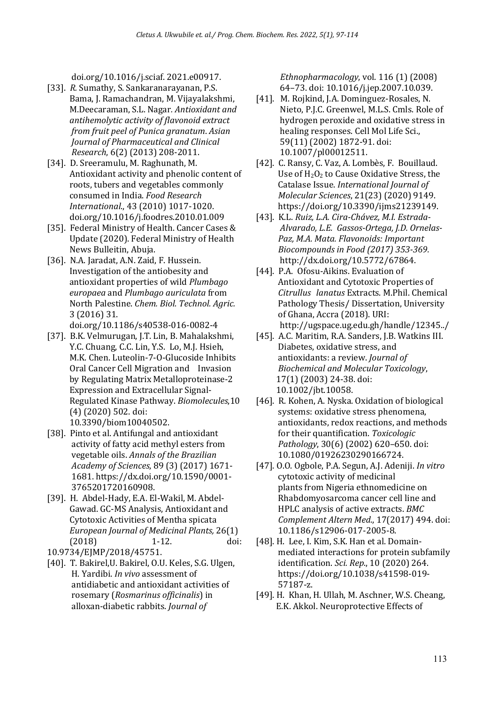doi.org/10.1016/j.sciaf. 2021.e00917.

- [33]. *R.* Sumathy, S. Sankaranarayanan, P.S. Bama, J. Ramachandran, M. Vijayalakshmi, M.Deecaraman, S.L. Nagar*. Antioxidant and antihemolytic activity of flavonoid extract from fruit peel of Punica granatum*. *Asian Journal of Pharmaceutical and Clinical Research*, 6(2) (2013) 208-2011.
- [34]. D. Sreeramulu, M. Raghunath, M. Antioxidant activity and phenolic content of roots, tubers and vegetables commonly consumed in India. *Food Research International*., 43 (2010) 1017-1020. doi.org/10.1016/j.foodres.2010.01.009
- [35]. Federal Ministry of Health. Cancer Cases & Update (2020). Federal Ministry of Health News Bulleitin, Abuja.
- [36]. N.A. Jaradat, A.N. Zaid, F. Hussein. Investigation of the antiobesity and antioxidant properties of wild *Plumbago europaea* and *Plumbago auriculata* from North Palestine. *Chem. Biol. Technol. Agric.* 3 (2016) 31.
	- doi.org/10.1186/s40538-016-0082-4
- [37]. B.K. Velmurugan, J.T. Lin, B. Mahalakshmi, Y.C. Chuang, C.C. Lin, Y.S. Lo, M.J. Hsieh, M.K. Chen. Luteolin-7-O-Glucoside Inhibits Oral Cancer Cell Migration and Invasion by Regulating Matrix Metalloproteinase-2 Expression and Extracellular Signal- Regulated Kinase Pathway. *Biomolecules*,10 (4) (2020) 502. doi: 10.3390/biom10040502.
- [38]. Pinto et al. Antifungal and antioxidant activity of fatty acid methyl esters from vegetable oils. *Annals of the Brazilian Academy of Sciences*, 89 (3) (2017) 1671- 1681. https://dx.doi.org/10.1590/0001- 3765201720160908.
- [39]. H. Abdel-Hady, E.A. El-Wakil, M. Abdel- Gawad. GC-MS Analysis, Antioxidant and Cytotoxic Activities of Mentha spicata *European Journal of Medicinal Plants,* 26(1) (2018) 1-12. doi:
- 10.9734/EJMP/2018/45751.
- [40]. T. Bakirel,U. Bakirel, O.U. Keles, S.G. Ulgen, H. Yardibi. *In vivo* assessment of antidiabetic and antioxidant activities of rosemary (*Rosmarinus officinalis*) in alloxan-diabetic rabbits. *Journal of*

 *Ethnopharmacology*, vol. 116 (1) (2008) 64–73. doi: 10.1016/j.jep.2007.10.039.

- [41]. M. Rojkind, J.A. Dominguez-Rosales, N. Nieto, P.J.C. Greenwel, M.L.S. Cmls. Role of hydrogen peroxide and oxidative stress in healing responses. Cell Mol Life Sci., 59(11) (2002) 1872-91. doi: 10.1007/pl00012511.
- [42]. C. Ransy, C. Vaz, A. Lombès, F. Bouillaud. Use of  $H_2O_2$  to Cause Oxidative Stress, the Catalase Issue. *International Journal of Molecular Sciences*, 21(23) (2020) 9149. https://doi.org/10.3390/ijms21239149.
- [43]. K.L. *Ruiz, L.A. Cira-Chávez, M.I. Estrada- Alvarado, L.E. Gassos-Ortega, J.D. Ornelas- Paz, M.A. Mata. Flavonoids: Important Biocompounds in Food (2017) 353-369.* http://dx.doi.org/10.5772/67864.
- [44]. P.A. Ofosu-Aikins. Evaluation of Antioxidant and Cytotoxic Properties of *Citrullus lanatus* Extracts. M.Phil. Chemical Pathology Thesis/ Dissertation, University of Ghana, Accra (2018). URI: http://ugspace.ug.edu.gh/handle/12345../
- [45]. A.C. Maritim, R.A. Sanders, J.B. Watkins III. Diabetes, oxidative stress, and antioxidants: a review. *Journal of Biochemical and Molecular Toxicology*, 17(1) (2003) 24-38. doi: 10.1002/jbt.10058.
- [46]. R. Kohen, A. Nyska. Oxidation of biological systems: oxidative stress phenomena, antioxidants, redox reactions, and methods for their quantification. *Toxicologic Pathology*, 30(6) (2002) 620–650. doi: 10.1080/01926230290166724.
- [47]. O.O. Ogbole, P.A. Segun, A.J. Adeniji. *In vitro* cytotoxic activity of medicinal plants from Nigeria ethnomedicine on Rhabdomyosarcoma cancer cell line and HPLC analysis of active extracts. *BMC Complement Altern Med*., 17(2017) 494. doi: 10.1186/s12906-017-2005-8.
- [48]. H. Lee, I. Kim, S.K. Han et al. Domain mediated interactions for protein subfamily identification. *Sci. Rep*., 10 (2020) 264. https://doi.org/10.1038/s41598-019- 57187-z.
- [49]. H. Khan, H. Ullah, M. Aschner, W.S. Cheang, E.K. Akkol. Neuroprotective Effects of